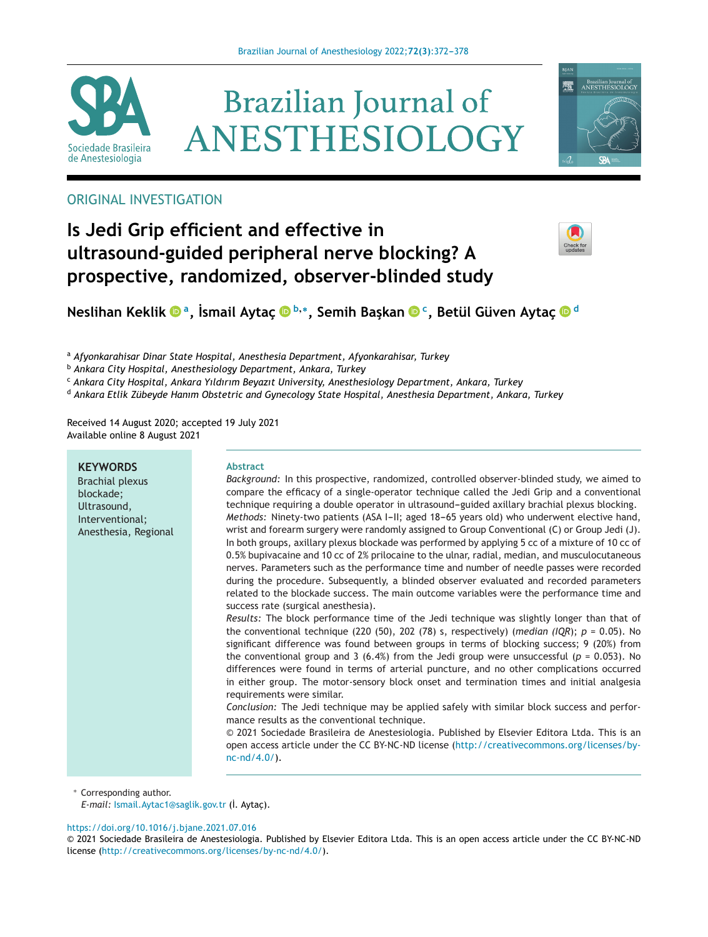

# **Brazilian Journal of** ANESTHESIOLOGY



# ORIGINAL INVESTIGATION

# **Is Jedi Grip efficient and effective in ultrasound-guided peripheral nerve blocking? A prospective, randomized, observer-blinded study**



**Neslihan Ke[k](https://orcid.org/0000-0002-1586-6953)lik**  $\bullet$ <sup>**a**</sup>, İsmail Aytaç  $\bullet$ <sup>b,</sup>\*, Semih Başkan  $\bullet$ <sup>c</sup>, Betül Güven Aytaç  $\bullet$ <sup>d</sup>

<sup>a</sup> *Afyonkarahisar Dinar State Hospital, Anesthesia Department, Afyonkarahisar, Turkey*

<sup>b</sup> *Ankara City Hospital, Anesthesiology Department, Ankara, Turkey*

<sup>c</sup> *Ankara City Hospital, Ankara Yıldırım Beyazıt University, Anesthesiology Department, Ankara, Turkey*

<sup>d</sup> *Ankara Etlik Zübeyde Hanım Obstetric and Gynecology State Hospital, Anesthesia Department, Ankara, Turkey*

Received 14 August 2020; accepted 19 July 2021 Available online 8 August 2021

#### **KEYWORDS**

Brachial plexus blockade; Ultrasound, Interventional; Anesthesia, Regional

#### **Abstract**

*Background:* In this prospective, randomized, controlled observer-blinded study, we aimed to compare the efficacy of a single-operator technique called the Jedi Grip and a conventional technique requiring a double operator in ultrasound-guided axillary brachial plexus blocking. *Methods:* Ninety-two patients (ASA I-II; aged 18-65 years old) who underwent elective hand, wrist and forearm surgery were randomly assigned to Group Conventional (C) or Group Jedi (J). In both groups, axillary plexus blockade was performed by applying 5 cc of a mixture of 10 cc of 0.5% bupivacaine and 10 cc of 2% prilocaine to the ulnar, radial, median, and musculocutaneous nerves. Parameters such as the performance time and number of needle passes were recorded during the procedure. Subsequently, a blinded observer evaluated and recorded parameters related to the blockade success. The main outcome variables were the performance time and success rate (surgical anesthesia).

*Results:* The block performance time of the Jedi technique was slightly longer than that of the conventional technique (220 (50), 202 (78) s, respectively) (*median (IQR*); *p* = 0.05). No significant difference was found between groups in terms of blocking success; 9 (20%) from the conventional group and 3 (6.4%) from the Jedi group were unsuccessful ( $p = 0.053$ ). No differences were found in terms of arterial puncture, and no other complications occurred in either group. The motor-sensory block onset and termination times and initial analgesia requirements were similar.

*Conclusion:* The Jedi technique may be applied safely with similar block success and performance results as the conventional technique.

© 2021 Sociedade Brasileira de Anestesiologia. Published by Elsevier Editora Ltda. This is an open access article under the CC BY-NC-ND license [\(http://creativecommons.org/licenses/by](http://creativecommons.org/licenses/by-nc-nd/4.0/)[nc-nd/4.0/](http://creativecommons.org/licenses/by-nc-nd/4.0/)).

∗ Corresponding author.

*E-mail:* [Ismail.Aytac1@saglik.gov.tr](mailto:Ismail.Aytac1@saglik.gov.tr) (İ. Aytac).

#### <https://doi.org/10.1016/j.bjane.2021.07.016>

<sup>©</sup> 2021 Sociedade Brasileira de Anestesiologia. Published by Elsevier Editora Ltda. This is an open access article under the CC BY-NC-ND license (<http://creativecommons.org/licenses/by-nc-nd/4.0/>).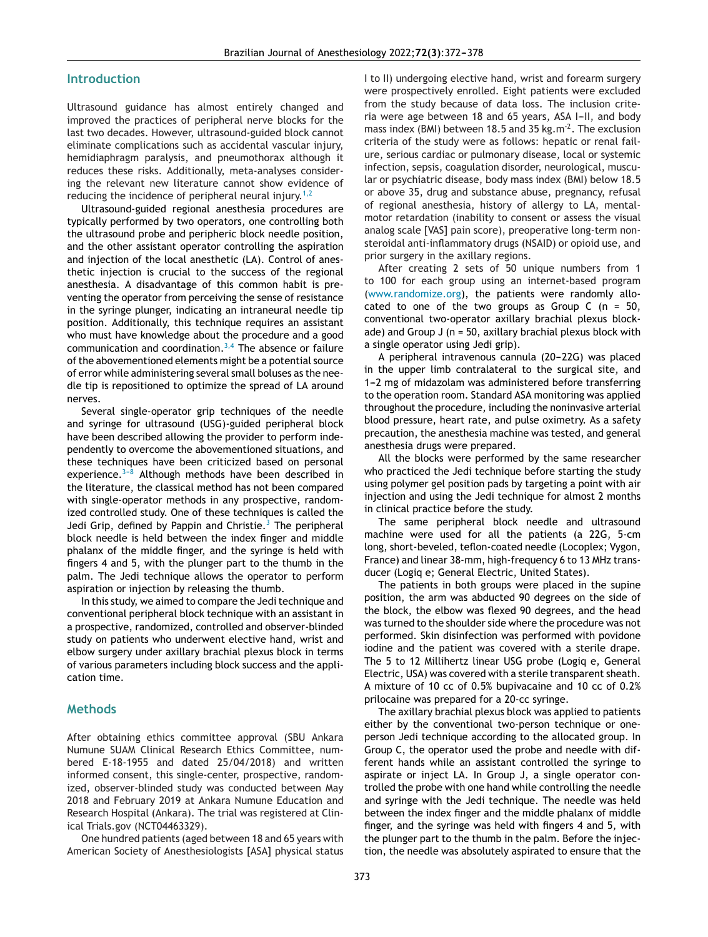#### **Introduction**

Ultrasound guidance has almost entirely changed and improved the practices of peripheral nerve blocks for the last two decades. However, ultrasound-guided block cannot eliminate complications such as accidental vascular injury, hemidiaphragm paralysis, and pneumothorax although it reduces these risks. Additionally, meta-analyses considering the relevant new literature cannot show evidence of reducing the incidence of peripheral neural injury.<sup>[1,2](#page-5-0)</sup>

Ultrasound-guided regional anesthesia procedures are typically performed by two operators, one controlling both the ultrasound probe and peripheric block needle position, and the other assistant operator controlling the aspiration and injection of the local anesthetic (LA). Control of anesthetic injection is crucial to the success of the regional anesthesia. A disadvantage of this common habit is preventing the operator from perceiving the sense of resistance in the syringe plunger, indicating an intraneural needle tip position. Additionally, this technique requires an assistant who must have knowledge about the procedure and a good communication and coordination. $3,4$  The absence or failure of the abovementioned elements might be a potential source of error while administering several small boluses as the needle tip is repositioned to optimize the spread of LA around nerves.

Several single-operator grip techniques of the needle and syringe for ultrasound (USG)-guided peripheral block have been described allowing the provider to perform independently to overcome the abovementioned situations, and these techniques have been criticized based on personal experience. $3-8$  Although methods have been described in the literature, the classical method has not been compared with single-operator methods in any prospective, randomized controlled study. One of these techniques is called the Jedi Grip, defined by Pappin and Christie.<sup>[3](#page-5-0)</sup> The peripheral block needle is held between the index finger and middle phalanx of the middle finger, and the syringe is held with fingers 4 and 5, with the plunger part to the thumb in the palm. The Jedi technique allows the operator to perform aspiration or injection by releasing the thumb.

In this study, we aimed to compare the Jedi technique and conventional peripheral block technique with an assistant in a prospective, randomized, controlled and observer-blinded study on patients who underwent elective hand, wrist and elbow surgery under axillary brachial plexus block in terms of various parameters including block success and the application time.

#### **Methods**

After obtaining ethics committee approval (SBU Ankara Numune SUAM Clinical Research Ethics Committee, numbered E-18-1955 and dated 25/04/2018) and written informed consent, this single-center, prospective, randomized, observer-blinded study was conducted between May 2018 and February 2019 at Ankara Numune Education and Research Hospital (Ankara). The trial was registered at Clinical Trials.gov (NCT04463329).

One hundred patients (aged between 18 and 65 years with American Society of Anesthesiologists [ASA] physical status I to II) undergoing elective hand, wrist and forearm surgery were prospectively enrolled. Eight patients were excluded from the study because of data loss. The inclusion criteria were age between 18 and 65 years, ASA I-II, and body mass index (BMI) between 18.5 and 35 kg.m<sup>-2</sup>. The exclusion criteria of the study were as follows: hepatic or renal failure, serious cardiac or pulmonary disease, local or systemic infection, sepsis, coagulation disorder, neurological, muscular or psychiatric disease, body mass index (BMI) below 18.5 or above 35, drug and substance abuse, pregnancy, refusal of regional anesthesia, history of allergy to LA, mentalmotor retardation (inability to consent or assess the visual analog scale [VAS] pain score), preoperative long-term nonsteroidal anti-inflammatory drugs (NSAID) or opioid use, and prior surgery in the axillary regions.

After creating 2 sets of 50 unique numbers from 1 to 100 for each group using an internet-based program ([www.randomize.org](http://www.randomize.org)), the patients were randomly allocated to one of the two groups as Group C  $(n = 50,$ conventional two-operator axillary brachial plexus blockade) and Group J (n = 50, axillary brachial plexus block with a single operator using Jedi grip).

A peripheral intravenous cannula (20-22G) was placed in the upper limb contralateral to the surgical site, and 1-2 mg of midazolam was administered before transferring to the operation room. Standard ASA monitoring was applied throughout the procedure, including the noninvasive arterial blood pressure, heart rate, and pulse oximetry. As a safety precaution, the anesthesia machine was tested, and general anesthesia drugs were prepared.

All the blocks were performed by the same researcher who practiced the Jedi technique before starting the study using polymer gel position pads by targeting a point with air injection and using the Jedi technique for almost 2 months in clinical practice before the study.

The same peripheral block needle and ultrasound machine were used for all the patients (a 22G, 5-cm long, short-beveled, teflon-coated needle (Locoplex; Vygon, France) and linear 38-mm, high-frequency 6 to 13 MHz transducer (Logiq e; General Electric, United States).

The patients in both groups were placed in the supine position, the arm was abducted 90 degrees on the side of the block, the elbow was flexed 90 degrees, and the head was turned to the shoulder side where the procedure was not performed. Skin disinfection was performed with povidone iodine and the patient was covered with a sterile drape. The 5 to 12 Millihertz linear USG probe (Logiq e, General Electric, USA) was covered with a sterile transparent sheath. A mixture of 10 cc of 0.5% bupivacaine and 10 cc of 0.2% prilocaine was prepared for a 20-cc syringe.

The axillary brachial plexus block was applied to patients either by the conventional two-person technique or oneperson Jedi technique according to the allocated group. In Group C, the operator used the probe and needle with different hands while an assistant controlled the syringe to aspirate or inject LA. In Group J, a single operator controlled the probe with one hand while controlling the needle and syringe with the Jedi technique. The needle was held between the index finger and the middle phalanx of middle finger, and the syringe was held with fingers 4 and 5, with the plunger part to the thumb in the palm. Before the injection, the needle was absolutely aspirated to ensure that the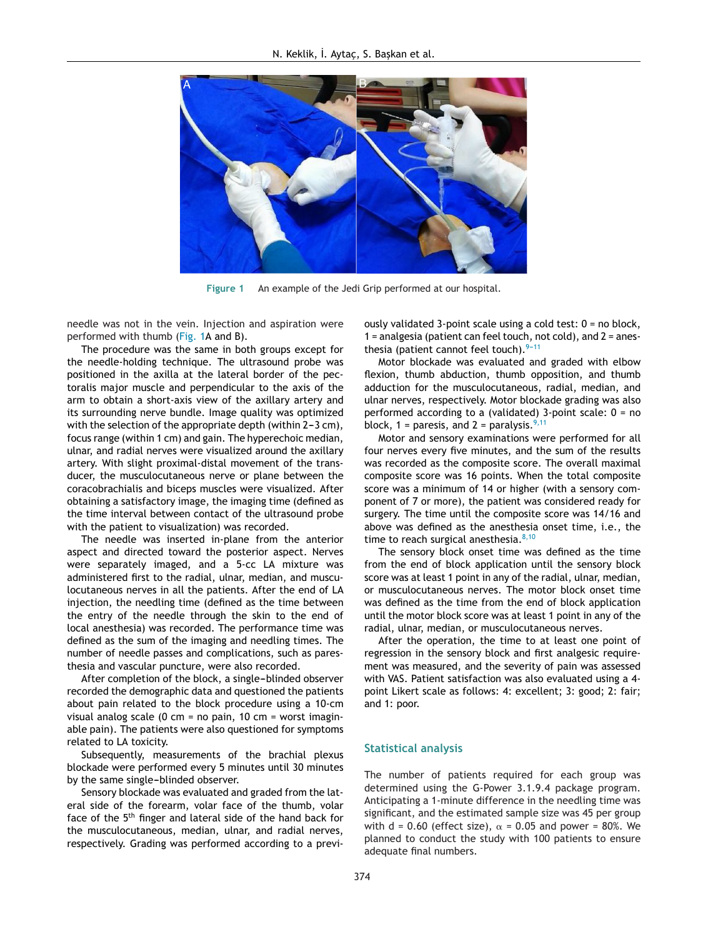

**Figure 1** An example of the Jedi Grip performed at our hospital.

needle was not in the vein. Injection and aspiration were performed with thumb (Fig. 1A and B).

The procedure was the same in both groups except for the needle-holding technique. The ultrasound probe was positioned in the axilla at the lateral border of the pectoralis major muscle and perpendicular to the axis of the arm to obtain a short-axis view of the axillary artery and its surrounding nerve bundle. Image quality was optimized with the selection of the appropriate depth (within  $2-3$  cm), focus range (within 1 cm) and gain. The hyperechoic median, ulnar, and radial nerves were visualized around the axillary artery. With slight proximal-distal movement of the transducer, the musculocutaneous nerve or plane between the coracobrachialis and biceps muscles were visualized. After obtaining a satisfactory image, the imaging time (defined as the time interval between contact of the ultrasound probe with the patient to visualization) was recorded.

The needle was inserted in-plane from the anterior aspect and directed toward the posterior aspect. Nerves were separately imaged, and a 5-cc LA mixture was administered first to the radial, ulnar, median, and musculocutaneous nerves in all the patients. After the end of LA injection, the needling time (defined as the time between the entry of the needle through the skin to the end of local anesthesia) was recorded. The performance time was defined as the sum of the imaging and needling times. The number of needle passes and complications, such as paresthesia and vascular puncture, were also recorded.

After completion of the block, a single-blinded observer recorded the demographic data and questioned the patients about pain related to the block procedure using a 10-cm visual analog scale (0 cm = no pain, 10 cm = worst imaginable pain). The patients were also questioned for symptoms related to LA toxicity.

Subsequently, measurements of the brachial plexus blockade were performed every 5 minutes until 30 minutes by the same single-blinded observer.

Sensory blockade was evaluated and graded from the lateral side of the forearm, volar face of the thumb, volar face of the 5<sup>th</sup> finger and lateral side of the hand back for the musculocutaneous, median, ulnar, and radial nerves, respectively. Grading was performed according to a previously validated 3-point scale using a cold test: 0 = no block, 1 = analgesia (patient can feel touch, not cold), and 2 = anesthesia (patient cannot feel touch). $9-11$ 

Motor blockade was evaluated and graded with elbow flexion, thumb abduction, thumb opposition, and thumb adduction for the musculocutaneous, radial, median, and ulnar nerves, respectively. Motor blockade grading was also performed according to a (validated) 3-point scale: 0 = no block, 1 = paresis, and 2 = paralysis.  $9,11$ 

Motor and sensory examinations were performed for all four nerves every five minutes, and the sum of the results was recorded as the composite score. The overall maximal composite score was 16 points. When the total composite score was a minimum of 14 or higher (with a sensory component of 7 or more), the patient was considered ready for surgery. The time until the composite score was 14/16 and above was defined as the anesthesia onset time, i.e., the time to reach surgical anesthesia. $8,10$ 

The sensory block onset time was defined as the time from the end of block application until the sensory block score was at least 1 point in any of the radial, ulnar, median, or musculocutaneous nerves. The motor block onset time was defined as the time from the end of block application until the motor block score was at least 1 point in any of the radial, ulnar, median, or musculocutaneous nerves.

After the operation, the time to at least one point of regression in the sensory block and first analgesic requirement was measured, and the severity of pain was assessed with VAS. Patient satisfaction was also evaluated using a 4 point Likert scale as follows: 4: excellent; 3: good; 2: fair; and 1: poor.

#### **Statistical analysis**

The number of patients required for each group was determined using the G-Power 3.1.9.4 package program. Anticipating a 1-minute difference in the needling time was significant, and the estimated sample size was 45 per group with d = 0.60 (effect size),  $\alpha$  = 0.05 and power = 80%. We planned to conduct the study with 100 patients to ensure adequate final numbers.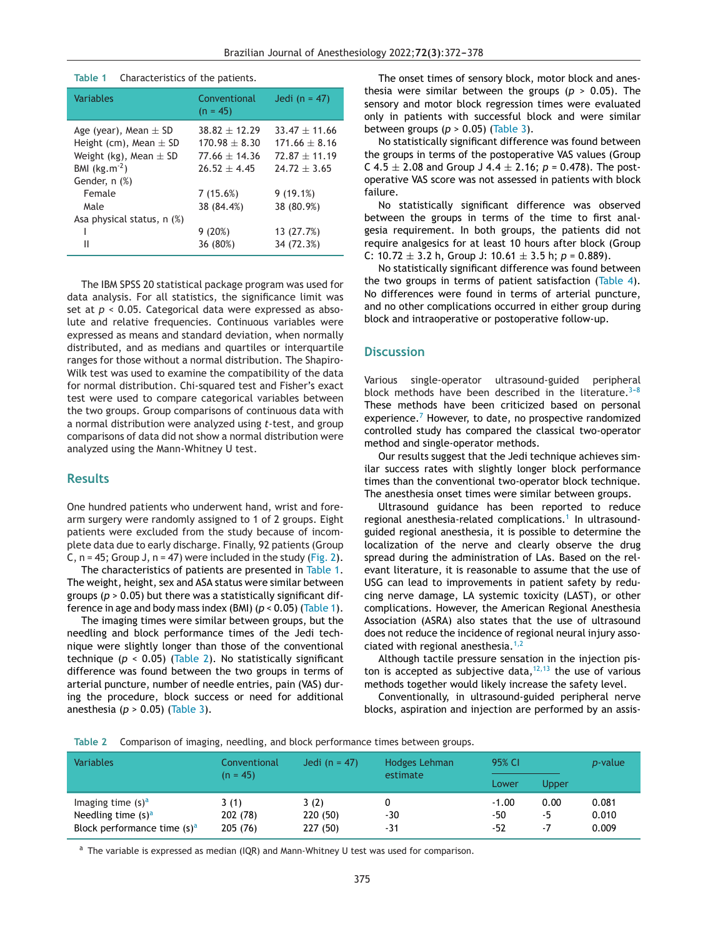| <b>Variables</b>                                                                                           | Conventional<br>$(n = 45)$                                                | Jedi (n = $47$ )                                                          |
|------------------------------------------------------------------------------------------------------------|---------------------------------------------------------------------------|---------------------------------------------------------------------------|
| Age (year), Mean $\pm$ SD<br>Height (cm), Mean $\pm$ SD<br>Weight (kg), Mean $\pm$ SD<br>BMI $(kg.m^{-2})$ | $38.82 + 12.29$<br>$170.98 \pm 8.30$<br>$77.66 + 14.36$<br>$76.57 + 4.45$ | $33.47 \pm 11.66$<br>$171.66 + 8.16$<br>$72.87 + 11.19$<br>$74.77 + 3.65$ |
| Gender, n (%)<br>Female<br>Male<br>Asa physical status, n (%)                                              | 7(15.6%)<br>38 (84.4%)                                                    | 9(19.1%)<br>38 (80.9%)                                                    |
| Ш                                                                                                          | 9(20%)<br>36 (80%)                                                        | 13 (27.7%)<br>34 (72.3%)                                                  |

#### **Table 1** Characteristics of the patients.

The IBM SPSS 20 statistical package program was used for data analysis. For all statistics, the significance limit was set at *p* < 0.05. Categorical data were expressed as absolute and relative frequencies. Continuous variables were expressed as means and standard deviation, when normally distributed, and as medians and quartiles or interquartile ranges for those without a normal distribution. The Shapiro-Wilk test was used to examine the compatibility of the data for normal distribution. Chi-squared test and Fisher's exact test were used to compare categorical variables between the two groups. Group comparisons of continuous data with a normal distribution were analyzed using *t*-test, and group comparisons of data did not show a normal distribution were analyzed using the Mann-Whitney U test.

### **Results**

One hundred patients who underwent hand, wrist and forearm surgery were randomly assigned to 1 of 2 groups. Eight patients were excluded from the study because of incomplete data due to early discharge. Finally, 92 patients (Group C,  $n = 45$ ; Group J,  $n = 47$ ) were included in the study [\(Fig.](#page-4-0) 2).

The characteristics of patients are presented in Table 1. The weight, height, sex and ASA status were similar between groups (*p* > 0.05) but there was a statistically significant difference in age and body mass index (BMI)  $(p < 0.05)$  (Table 1).

The imaging times were similar between groups, but the needling and block performance times of the Jedi technique were slightly longer than those of the conventional technique ( $p < 0.05$ ) (Table 2). No statistically significant difference was found between the two groups in terms of arterial puncture, number of needle entries, pain (VAS) during the procedure, block success or need for additional anesthesia (*p* > 0.05) ([Table](#page-4-0) 3).

The onset times of sensory block, motor block and anesthesia were similar between the groups (*p* > 0.05). The sensory and motor block regression times were evaluated only in patients with successful block and were similar between groups (*p* > 0.05) [\(Table](#page-4-0) 3).

No statistically significant difference was found between the groups in terms of the postoperative VAS values (Group C 4.5  $\pm$  2.08 and Group J 4.4  $\pm$  2.16; *p* = 0.478). The postoperative VAS score was not assessed in patients with block failure.

No statistically significant difference was observed between the groups in terms of the time to first analgesia requirement. In both groups, the patients did not require analgesics for at least 10 hours after block (Group C:  $10.72 \pm 3.2$  h, Group J:  $10.61 \pm 3.5$  h;  $p = 0.889$ ).

No statistically significant difference was found between the two groups in terms of patient satisfaction [\(Table](#page-5-0) 4). No differences were found in terms of arterial puncture, and no other complications occurred in either group during block and intraoperative or postoperative follow-up.

#### **Discussion**

Various single-operator ultrasound-guided peripheral block methods have been described in the literature.<sup>3-8</sup> These methods have been criticized based on personal experience.<sup>[7](#page-5-0)</sup> However, to date, no prospective randomized controlled study has compared the classical two-operator method and single-operator methods.

Our results suggest that the Jedi technique achieves similar success rates with slightly longer block performance times than the conventional two-operator block technique. The anesthesia onset times were similar between groups.

Ultrasound guidance has been reported to reduce regional anesthesia-related complications.<sup>[1](#page-5-0)</sup> In ultrasoundguided regional anesthesia, it is possible to determine the localization of the nerve and clearly observe the drug spread during the administration of LAs. Based on the relevant literature, it is reasonable to assume that the use of USG can lead to improvements in patient safety by reducing nerve damage, LA systemic toxicity (LAST), or other complications. However, the American Regional Anesthesia Association (ASRA) also states that the use of ultrasound does not reduce the incidence of regional neural injury associated with regional anesthesia. $1,2$ 

Although tactile pressure sensation in the injection piston is accepted as subjective data,  $12,13$  the use of various methods together would likely increase the safety level.

Conventionally, in ultrasound-guided peripheral nerve blocks, aspiration and injection are performed by an assis-

**Table 2** Comparison of imaging, needling, and block performance times between groups.

| <b>Variables</b>                                                                | <b>Conventional</b><br>$(n = 45)$ | Jedi (n = $47$ )            | Hodges Lehman<br>estimate | 95% CI                  |                  | <i>p</i> -value         |
|---------------------------------------------------------------------------------|-----------------------------------|-----------------------------|---------------------------|-------------------------|------------------|-------------------------|
|                                                                                 |                                   |                             |                           | Lower                   | Upper            |                         |
| Imaging time $(s)^a$<br>Needling time $(s)^a$<br>Block performance time $(s)^a$ | 3(1)<br>202 (78)<br>205(76)       | 3(2)<br>220(50)<br>227 (50) | $-30$<br>-31              | $-1.00$<br>-50<br>$-52$ | 0.00<br>-5<br>-7 | 0.081<br>0.010<br>0.009 |

 $a$  The variable is expressed as median (IQR) and Mann-Whitney U test was used for comparison.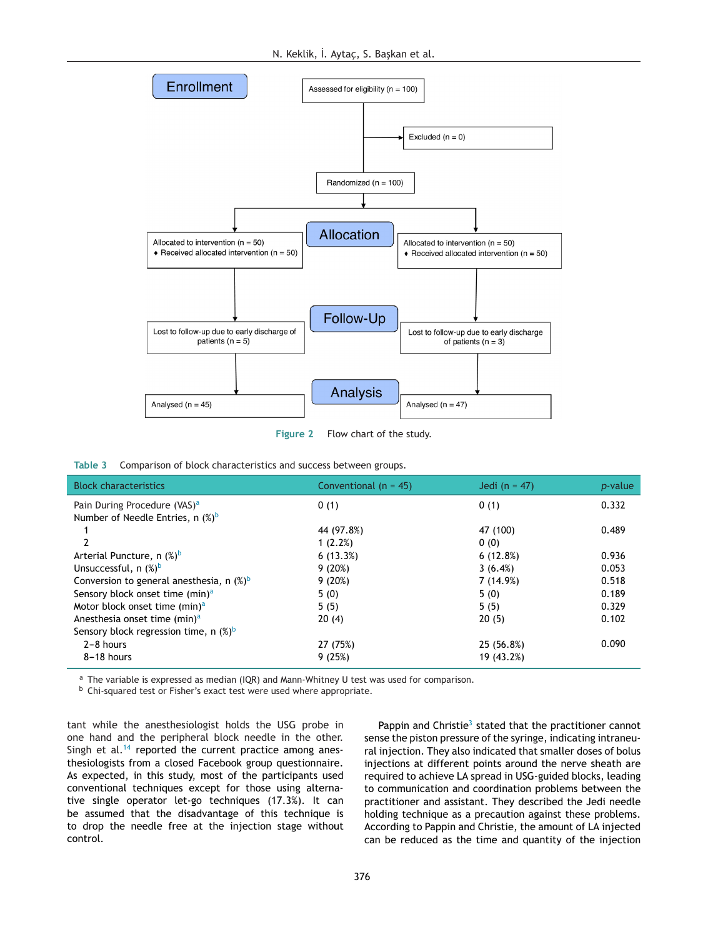<span id="page-4-0"></span>

**Figure 2** Flow chart of the study.

|  |  |  | Table 3 Comparison of block characteristics and success between groups. |
|--|--|--|-------------------------------------------------------------------------|
|--|--|--|-------------------------------------------------------------------------|

| <b>Block characteristics</b>                 | Conventional $(n = 45)$ | Jedi ( $n = 47$ ) | <i>p</i> -value |
|----------------------------------------------|-------------------------|-------------------|-----------------|
| Pain During Procedure (VAS) <sup>a</sup>     | 0(1)                    | 0(1)              | 0.332           |
| Number of Needle Entries, n $(\%)^b$         |                         |                   |                 |
|                                              | 44 (97.8%)              | 47 (100)          | 0.489           |
|                                              | 1(2.2%)                 | 0(0)              |                 |
| Arterial Puncture, n (%) <sup>b</sup>        | 6(13.3%)                | 6(12.8%)          | 0.936           |
| Unsuccessful, $n$ $(\%)^b$                   | 9(20%)                  | 3(6.4%)           | 0.053           |
| Conversion to general anesthesia, n $(\%)^b$ | 9(20%)                  | 7 (14.9%)         | 0.518           |
| Sensory block onset time (min) <sup>a</sup>  | 5(0)                    | 5(0)              | 0.189           |
| Motor block onset time (min) <sup>a</sup>    | 5(5)                    | 5(5)              | 0.329           |
| Anesthesia onset time (min) <sup>a</sup>     | 20(4)                   | 20(5)             | 0.102           |
| Sensory block regression time, n $(\%)^b$    |                         |                   |                 |
| $2 - 8$ hours                                | 27 (75%)                | 25 (56.8%)        | 0.090           |
| 8-18 hours                                   | 9(25%)                  | 19 (43.2%)        |                 |

 $a$  The variable is expressed as median (IQR) and Mann-Whitney U test was used for comparison.

b Chi-squared test or Fisher's exact test were used where appropriate.

tant while the anesthesiologist holds the USG probe in one hand and the peripheral block needle in the other. Singh et al. $14$  reported the current practice among anesthesiologists from a closed Facebook group questionnaire. As expected, in this study, most of the participants used conventional techniques except for those using alternative single operator let-go techniques (17.3%). It can be assumed that the disadvantage of this technique is to drop the needle free at the injection stage without control.

Pappin and Chri[s](#page-5-0)tie<sup>3</sup> stated that the practitioner cannot sense the piston pressure of the syringe, indicating intraneural injection. They also indicated that smaller doses of bolus injections at different points around the nerve sheath are required to achieve LA spread in USG-guided blocks, leading to communication and coordination problems between the practitioner and assistant. They described the Jedi needle holding technique as a precaution against these problems. According to Pappin and Christie, the amount of LA injected can be reduced as the time and quantity of the injection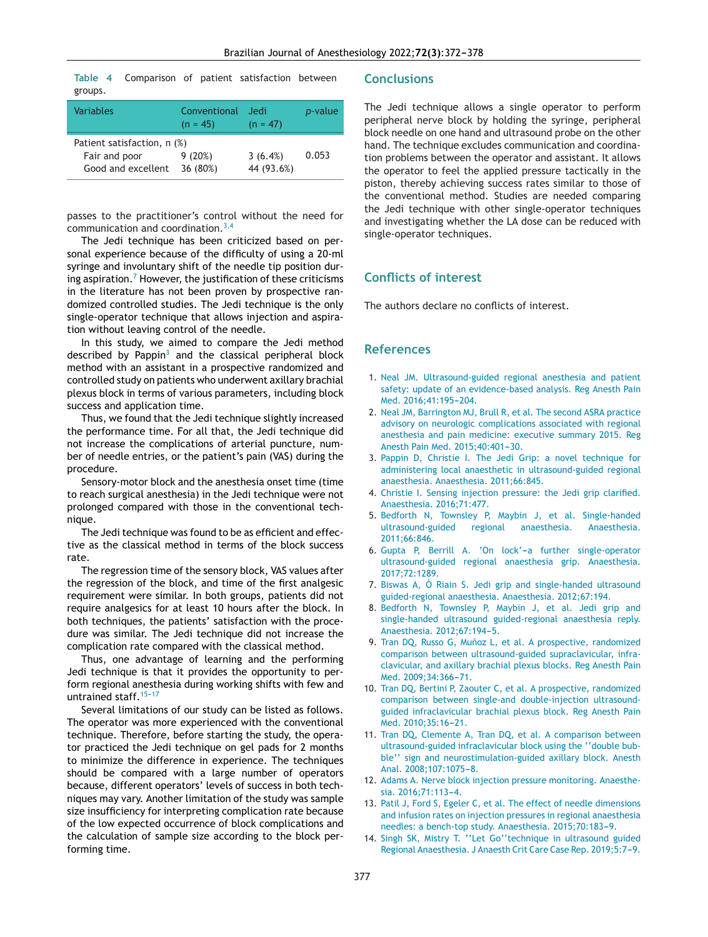<span id="page-5-0"></span>**Table 4** Comparison of patient satisfaction between groups.

| Variables                                                          | Conventional<br>$(n = 45)$ | Jedi<br>$(n = 47)$    | <i>p</i> -value |
|--------------------------------------------------------------------|----------------------------|-----------------------|-----------------|
| Patient satisfaction, n (%)<br>Fair and poor<br>Good and excellent | 9(20%)<br>36 (80%)         | 3(6.4%)<br>44 (93.6%) | 0.053           |

passes to the practitioner's control without the need for communication and coordination.3,4

The Jedi technique has been criticized based on personal experience because of the difficulty of using a 20-ml syringe and involuntary shift of the needle tip position during aspiration.<sup>7</sup> However, the justification of these criticisms in the literature has not been proven by prospective randomized controlled studies. The Jedi technique is the only single-operator technique that allows injection and aspiration without leaving control of the needle.

In this study, we aimed to compare the Jedi method described by Pappin $3$  and the classical peripheral block method with an assistant in a prospective randomized and controlled study on patients who underwent axillary brachial plexus block in terms of various parameters, including block success and application time.

Thus, we found that the Jedi technique slightly increased the performance time. For all that, the Jedi technique did not increase the complications of arterial puncture, number of needle entries, or the patient's pain (VAS) during the procedure.

Sensory-motor block and the anesthesia onset time (time to reach surgical anesthesia) in the Jedi technique were not prolonged compared with those in the conventional technique.

The Jedi technique was found to be as efficient and effective as the classical method in terms of the block success rate.

The regression time of the sensory block, VAS values after the regression of the block, and time of the first analgesic requirement were similar. In both groups, patients did not require analgesics for at least 10 hours after the block. In both techniques, the patients' satisfaction with the procedure was similar. The Jedi technique did not increase the complication rate compared with the classical method.

Thus, one advantage of learning and the performing Jedi technique is that it provides the opportunity to perform regional anesthesia during working shifts with few and untrained staff.  $15-17$ 

Several limitations of our study can be listed as follows. The operator was more experienced with the conventional technique. Therefore, before starting the study, the operator practiced the Jedi technique on gel pads for 2 months to minimize the difference in experience. The techniques should be compared with a large number of operators because, different operators' levels of success in both techniques may vary. Another limitation of the study was sample size insufficiency for interpreting complication rate because of the low expected occurrence of block complications and the calculation of sample size according to the block performing time.

#### **Conclusions**

The Jedi technique allows a single operator to perform peripheral nerve block by holding the syringe, peripheral block needle on one hand and ultrasound probe on the other hand. The technique excludes communication and coordination problems between the operator and assistant. It allows the operator to feel the applied pressure tactically in the piston, thereby achieving success rates similar to those of the conventional method. Studies are needed comparing the Jedi technique with other single-operator techniques and investigating whether the LA dose can be reduced with single-operator techniques.

## **Conflicts of interest**

The authors declare no conflicts of interest.

#### **References**

- 1. [Neal](http://refhub.elsevier.com/S0104-0014(21)00297-9/sbref0005) [JM.](http://refhub.elsevier.com/S0104-0014(21)00297-9/sbref0005) [Ultrasound-guided](http://refhub.elsevier.com/S0104-0014(21)00297-9/sbref0005) [regional](http://refhub.elsevier.com/S0104-0014(21)00297-9/sbref0005) [anesthesia](http://refhub.elsevier.com/S0104-0014(21)00297-9/sbref0005) [and](http://refhub.elsevier.com/S0104-0014(21)00297-9/sbref0005) [patient](http://refhub.elsevier.com/S0104-0014(21)00297-9/sbref0005) [safety:](http://refhub.elsevier.com/S0104-0014(21)00297-9/sbref0005) [update](http://refhub.elsevier.com/S0104-0014(21)00297-9/sbref0005) [of](http://refhub.elsevier.com/S0104-0014(21)00297-9/sbref0005) [an](http://refhub.elsevier.com/S0104-0014(21)00297-9/sbref0005) [evidence-based](http://refhub.elsevier.com/S0104-0014(21)00297-9/sbref0005) [analysis.](http://refhub.elsevier.com/S0104-0014(21)00297-9/sbref0005) [Reg](http://refhub.elsevier.com/S0104-0014(21)00297-9/sbref0005) [Anesth](http://refhub.elsevier.com/S0104-0014(21)00297-9/sbref0005) [Pain](http://refhub.elsevier.com/S0104-0014(21)00297-9/sbref0005) [Med.](http://refhub.elsevier.com/S0104-0014(21)00297-9/sbref0005) [2016;41:195](http://refhub.elsevier.com/S0104-0014(21)00297-9/sbref0005)-[204.](http://refhub.elsevier.com/S0104-0014(21)00297-9/sbref0005)
- 2. [Neal](http://refhub.elsevier.com/S0104-0014(21)00297-9/sbref0010) [JM,](http://refhub.elsevier.com/S0104-0014(21)00297-9/sbref0010) [Barrington](http://refhub.elsevier.com/S0104-0014(21)00297-9/sbref0010) [MJ,](http://refhub.elsevier.com/S0104-0014(21)00297-9/sbref0010) [Brull](http://refhub.elsevier.com/S0104-0014(21)00297-9/sbref0010) [R,](http://refhub.elsevier.com/S0104-0014(21)00297-9/sbref0010) [et](http://refhub.elsevier.com/S0104-0014(21)00297-9/sbref0010) [al.](http://refhub.elsevier.com/S0104-0014(21)00297-9/sbref0010) [The](http://refhub.elsevier.com/S0104-0014(21)00297-9/sbref0010) [second](http://refhub.elsevier.com/S0104-0014(21)00297-9/sbref0010) [ASRA](http://refhub.elsevier.com/S0104-0014(21)00297-9/sbref0010) [practice](http://refhub.elsevier.com/S0104-0014(21)00297-9/sbref0010) [advisory](http://refhub.elsevier.com/S0104-0014(21)00297-9/sbref0010) [on](http://refhub.elsevier.com/S0104-0014(21)00297-9/sbref0010) [neurologic](http://refhub.elsevier.com/S0104-0014(21)00297-9/sbref0010) [complications](http://refhub.elsevier.com/S0104-0014(21)00297-9/sbref0010) [associated](http://refhub.elsevier.com/S0104-0014(21)00297-9/sbref0010) [with](http://refhub.elsevier.com/S0104-0014(21)00297-9/sbref0010) [regional](http://refhub.elsevier.com/S0104-0014(21)00297-9/sbref0010) [anesthesia](http://refhub.elsevier.com/S0104-0014(21)00297-9/sbref0010) [and](http://refhub.elsevier.com/S0104-0014(21)00297-9/sbref0010) [pain](http://refhub.elsevier.com/S0104-0014(21)00297-9/sbref0010) [medicine:](http://refhub.elsevier.com/S0104-0014(21)00297-9/sbref0010) [executive](http://refhub.elsevier.com/S0104-0014(21)00297-9/sbref0010) [summary](http://refhub.elsevier.com/S0104-0014(21)00297-9/sbref0010) [2015.](http://refhub.elsevier.com/S0104-0014(21)00297-9/sbref0010) [Reg](http://refhub.elsevier.com/S0104-0014(21)00297-9/sbref0010) [Anesth](http://refhub.elsevier.com/S0104-0014(21)00297-9/sbref0010) [Pain](http://refhub.elsevier.com/S0104-0014(21)00297-9/sbref0010) [Med.](http://refhub.elsevier.com/S0104-0014(21)00297-9/sbref0010) 2015;40:401-30.
- 3. [Pappin](http://refhub.elsevier.com/S0104-0014(21)00297-9/sbref0015) [D,](http://refhub.elsevier.com/S0104-0014(21)00297-9/sbref0015) [Christie](http://refhub.elsevier.com/S0104-0014(21)00297-9/sbref0015) [I.](http://refhub.elsevier.com/S0104-0014(21)00297-9/sbref0015) [The](http://refhub.elsevier.com/S0104-0014(21)00297-9/sbref0015) [Jedi](http://refhub.elsevier.com/S0104-0014(21)00297-9/sbref0015) [Grip:](http://refhub.elsevier.com/S0104-0014(21)00297-9/sbref0015) [a](http://refhub.elsevier.com/S0104-0014(21)00297-9/sbref0015) [novel](http://refhub.elsevier.com/S0104-0014(21)00297-9/sbref0015) [technique](http://refhub.elsevier.com/S0104-0014(21)00297-9/sbref0015) [for](http://refhub.elsevier.com/S0104-0014(21)00297-9/sbref0015) [administering](http://refhub.elsevier.com/S0104-0014(21)00297-9/sbref0015) [local](http://refhub.elsevier.com/S0104-0014(21)00297-9/sbref0015) [anaesthetic](http://refhub.elsevier.com/S0104-0014(21)00297-9/sbref0015) [in](http://refhub.elsevier.com/S0104-0014(21)00297-9/sbref0015) [ultrasound-guided](http://refhub.elsevier.com/S0104-0014(21)00297-9/sbref0015) [regional](http://refhub.elsevier.com/S0104-0014(21)00297-9/sbref0015) [anaesthesia.](http://refhub.elsevier.com/S0104-0014(21)00297-9/sbref0015) [Anaesthesia.](http://refhub.elsevier.com/S0104-0014(21)00297-9/sbref0015) [2011;66:845.](http://refhub.elsevier.com/S0104-0014(21)00297-9/sbref0015)
- 4. [Christie](http://refhub.elsevier.com/S0104-0014(21)00297-9/sbref0020) [I.](http://refhub.elsevier.com/S0104-0014(21)00297-9/sbref0020) [Sensing](http://refhub.elsevier.com/S0104-0014(21)00297-9/sbref0020) [injection](http://refhub.elsevier.com/S0104-0014(21)00297-9/sbref0020) [pressure:](http://refhub.elsevier.com/S0104-0014(21)00297-9/sbref0020) [the](http://refhub.elsevier.com/S0104-0014(21)00297-9/sbref0020) [Jedi](http://refhub.elsevier.com/S0104-0014(21)00297-9/sbref0020) [grip](http://refhub.elsevier.com/S0104-0014(21)00297-9/sbref0020) [clarified.](http://refhub.elsevier.com/S0104-0014(21)00297-9/sbref0020) [Anaesthesia.](http://refhub.elsevier.com/S0104-0014(21)00297-9/sbref0020) [2016;71:477.](http://refhub.elsevier.com/S0104-0014(21)00297-9/sbref0020)
- 5. [Bedforth](http://refhub.elsevier.com/S0104-0014(21)00297-9/sbref0025) [N,](http://refhub.elsevier.com/S0104-0014(21)00297-9/sbref0025) [Townsley](http://refhub.elsevier.com/S0104-0014(21)00297-9/sbref0025) [P,](http://refhub.elsevier.com/S0104-0014(21)00297-9/sbref0025) [Maybin](http://refhub.elsevier.com/S0104-0014(21)00297-9/sbref0025) [J,](http://refhub.elsevier.com/S0104-0014(21)00297-9/sbref0025) [et](http://refhub.elsevier.com/S0104-0014(21)00297-9/sbref0025) [al.](http://refhub.elsevier.com/S0104-0014(21)00297-9/sbref0025) [Single-handed](http://refhub.elsevier.com/S0104-0014(21)00297-9/sbref0025) [ultrasound-guided](http://refhub.elsevier.com/S0104-0014(21)00297-9/sbref0025) [regional](http://refhub.elsevier.com/S0104-0014(21)00297-9/sbref0025) [anaesthesia.](http://refhub.elsevier.com/S0104-0014(21)00297-9/sbref0025) [Anaesthesia.](http://refhub.elsevier.com/S0104-0014(21)00297-9/sbref0025) [2011;66:846.](http://refhub.elsevier.com/S0104-0014(21)00297-9/sbref0025)
- 6. [Gupta](http://refhub.elsevier.com/S0104-0014(21)00297-9/sbref0030) [P,](http://refhub.elsevier.com/S0104-0014(21)00297-9/sbref0030) [Berrill](http://refhub.elsevier.com/S0104-0014(21)00297-9/sbref0030) [A.](http://refhub.elsevier.com/S0104-0014(21)00297-9/sbref0030) ['On](http://refhub.elsevier.com/S0104-0014(21)00297-9/sbref0030) lock'-a [further](http://refhub.elsevier.com/S0104-0014(21)00297-9/sbref0030) [single-operator](http://refhub.elsevier.com/S0104-0014(21)00297-9/sbref0030) [ultrasound-guided](http://refhub.elsevier.com/S0104-0014(21)00297-9/sbref0030) [regional](http://refhub.elsevier.com/S0104-0014(21)00297-9/sbref0030) [anaesthesia](http://refhub.elsevier.com/S0104-0014(21)00297-9/sbref0030) [grip.](http://refhub.elsevier.com/S0104-0014(21)00297-9/sbref0030) [Anaesthesia.](http://refhub.elsevier.com/S0104-0014(21)00297-9/sbref0030) [2017;72:1289.](http://refhub.elsevier.com/S0104-0014(21)00297-9/sbref0030)
- 7. [Biswas](http://refhub.elsevier.com/S0104-0014(21)00297-9/sbref0035) [A,](http://refhub.elsevier.com/S0104-0014(21)00297-9/sbref0035) [Ó](http://refhub.elsevier.com/S0104-0014(21)00297-9/sbref0035) [Riain](http://refhub.elsevier.com/S0104-0014(21)00297-9/sbref0035) [S.](http://refhub.elsevier.com/S0104-0014(21)00297-9/sbref0035) [Jedi](http://refhub.elsevier.com/S0104-0014(21)00297-9/sbref0035) [grip](http://refhub.elsevier.com/S0104-0014(21)00297-9/sbref0035) [and](http://refhub.elsevier.com/S0104-0014(21)00297-9/sbref0035) [single-handed](http://refhub.elsevier.com/S0104-0014(21)00297-9/sbref0035) [ultrasound](http://refhub.elsevier.com/S0104-0014(21)00297-9/sbref0035) [guided-regional](http://refhub.elsevier.com/S0104-0014(21)00297-9/sbref0035) [anaesthesia.](http://refhub.elsevier.com/S0104-0014(21)00297-9/sbref0035) [Anaesthesia.](http://refhub.elsevier.com/S0104-0014(21)00297-9/sbref0035) [2012;67:194.](http://refhub.elsevier.com/S0104-0014(21)00297-9/sbref0035)
- 8. [Bedforth](http://refhub.elsevier.com/S0104-0014(21)00297-9/sbref0040) [N,](http://refhub.elsevier.com/S0104-0014(21)00297-9/sbref0040) [Townsley](http://refhub.elsevier.com/S0104-0014(21)00297-9/sbref0040) [P,](http://refhub.elsevier.com/S0104-0014(21)00297-9/sbref0040) [Maybin](http://refhub.elsevier.com/S0104-0014(21)00297-9/sbref0040) [J,](http://refhub.elsevier.com/S0104-0014(21)00297-9/sbref0040) [et](http://refhub.elsevier.com/S0104-0014(21)00297-9/sbref0040) [al.](http://refhub.elsevier.com/S0104-0014(21)00297-9/sbref0040) [Jedi](http://refhub.elsevier.com/S0104-0014(21)00297-9/sbref0040) [grip](http://refhub.elsevier.com/S0104-0014(21)00297-9/sbref0040) [and](http://refhub.elsevier.com/S0104-0014(21)00297-9/sbref0040) [single-handed](http://refhub.elsevier.com/S0104-0014(21)00297-9/sbref0040) [ultrasound](http://refhub.elsevier.com/S0104-0014(21)00297-9/sbref0040) [guided-regional](http://refhub.elsevier.com/S0104-0014(21)00297-9/sbref0040) [anaesthesia](http://refhub.elsevier.com/S0104-0014(21)00297-9/sbref0040) [reply.](http://refhub.elsevier.com/S0104-0014(21)00297-9/sbref0040) [Anaesthesia.](http://refhub.elsevier.com/S0104-0014(21)00297-9/sbref0040) 2012:67:194-5.
- 9. [Tran](http://refhub.elsevier.com/S0104-0014(21)00297-9/sbref0045) [DQ,](http://refhub.elsevier.com/S0104-0014(21)00297-9/sbref0045) [Russo](http://refhub.elsevier.com/S0104-0014(21)00297-9/sbref0045) [G,](http://refhub.elsevier.com/S0104-0014(21)00297-9/sbref0045) Muñoz [L,](http://refhub.elsevier.com/S0104-0014(21)00297-9/sbref0045) [et](http://refhub.elsevier.com/S0104-0014(21)00297-9/sbref0045) [al.](http://refhub.elsevier.com/S0104-0014(21)00297-9/sbref0045) [A](http://refhub.elsevier.com/S0104-0014(21)00297-9/sbref0045) [prospective,](http://refhub.elsevier.com/S0104-0014(21)00297-9/sbref0045) [randomized](http://refhub.elsevier.com/S0104-0014(21)00297-9/sbref0045) [comparison](http://refhub.elsevier.com/S0104-0014(21)00297-9/sbref0045) [between](http://refhub.elsevier.com/S0104-0014(21)00297-9/sbref0045) [ultrasound-guided](http://refhub.elsevier.com/S0104-0014(21)00297-9/sbref0045) [supraclavicular,](http://refhub.elsevier.com/S0104-0014(21)00297-9/sbref0045) [infra](http://refhub.elsevier.com/S0104-0014(21)00297-9/sbref0045)[clavicular,](http://refhub.elsevier.com/S0104-0014(21)00297-9/sbref0045) [and](http://refhub.elsevier.com/S0104-0014(21)00297-9/sbref0045) [axillary](http://refhub.elsevier.com/S0104-0014(21)00297-9/sbref0045) [brachial](http://refhub.elsevier.com/S0104-0014(21)00297-9/sbref0045) [plexus](http://refhub.elsevier.com/S0104-0014(21)00297-9/sbref0045) [blocks.](http://refhub.elsevier.com/S0104-0014(21)00297-9/sbref0045) [Reg](http://refhub.elsevier.com/S0104-0014(21)00297-9/sbref0045) [Anesth](http://refhub.elsevier.com/S0104-0014(21)00297-9/sbref0045) [Pain](http://refhub.elsevier.com/S0104-0014(21)00297-9/sbref0045) [Med.](http://refhub.elsevier.com/S0104-0014(21)00297-9/sbref0045) 2009:34:366-[71.](http://refhub.elsevier.com/S0104-0014(21)00297-9/sbref0045)
- 10. [Tran](http://refhub.elsevier.com/S0104-0014(21)00297-9/sbref0050) [DQ,](http://refhub.elsevier.com/S0104-0014(21)00297-9/sbref0050) [Bertini](http://refhub.elsevier.com/S0104-0014(21)00297-9/sbref0050) [P,](http://refhub.elsevier.com/S0104-0014(21)00297-9/sbref0050) [Zaouter](http://refhub.elsevier.com/S0104-0014(21)00297-9/sbref0050) [C,](http://refhub.elsevier.com/S0104-0014(21)00297-9/sbref0050) [et](http://refhub.elsevier.com/S0104-0014(21)00297-9/sbref0050) [al.](http://refhub.elsevier.com/S0104-0014(21)00297-9/sbref0050) [A](http://refhub.elsevier.com/S0104-0014(21)00297-9/sbref0050) [prospective,](http://refhub.elsevier.com/S0104-0014(21)00297-9/sbref0050) [randomized](http://refhub.elsevier.com/S0104-0014(21)00297-9/sbref0050) [comparison](http://refhub.elsevier.com/S0104-0014(21)00297-9/sbref0050) [between](http://refhub.elsevier.com/S0104-0014(21)00297-9/sbref0050) [single-and](http://refhub.elsevier.com/S0104-0014(21)00297-9/sbref0050) [double-injection](http://refhub.elsevier.com/S0104-0014(21)00297-9/sbref0050) [ultrasound](http://refhub.elsevier.com/S0104-0014(21)00297-9/sbref0050)[guided](http://refhub.elsevier.com/S0104-0014(21)00297-9/sbref0050) [infraclavicular](http://refhub.elsevier.com/S0104-0014(21)00297-9/sbref0050) [brachial](http://refhub.elsevier.com/S0104-0014(21)00297-9/sbref0050) [plexus](http://refhub.elsevier.com/S0104-0014(21)00297-9/sbref0050) [block.](http://refhub.elsevier.com/S0104-0014(21)00297-9/sbref0050) [Reg](http://refhub.elsevier.com/S0104-0014(21)00297-9/sbref0050) [Anesth](http://refhub.elsevier.com/S0104-0014(21)00297-9/sbref0050) [Pain](http://refhub.elsevier.com/S0104-0014(21)00297-9/sbref0050)  $Med. 2010.35.16 - 21.$  $Med. 2010.35.16 - 21.$  $Med. 2010.35.16 - 21.$
- 11. [Tran](http://refhub.elsevier.com/S0104-0014(21)00297-9/sbref0055) [DQ,](http://refhub.elsevier.com/S0104-0014(21)00297-9/sbref0055) [Clemente](http://refhub.elsevier.com/S0104-0014(21)00297-9/sbref0055) [A,](http://refhub.elsevier.com/S0104-0014(21)00297-9/sbref0055) [Tran](http://refhub.elsevier.com/S0104-0014(21)00297-9/sbref0055) [DQ,](http://refhub.elsevier.com/S0104-0014(21)00297-9/sbref0055) [et](http://refhub.elsevier.com/S0104-0014(21)00297-9/sbref0055) [al.](http://refhub.elsevier.com/S0104-0014(21)00297-9/sbref0055) [A](http://refhub.elsevier.com/S0104-0014(21)00297-9/sbref0055) [comparison](http://refhub.elsevier.com/S0104-0014(21)00297-9/sbref0055) [between](http://refhub.elsevier.com/S0104-0014(21)00297-9/sbref0055) [ultrasound-guided](http://refhub.elsevier.com/S0104-0014(21)00297-9/sbref0055) [infraclavicular](http://refhub.elsevier.com/S0104-0014(21)00297-9/sbref0055) [block](http://refhub.elsevier.com/S0104-0014(21)00297-9/sbref0055) [using](http://refhub.elsevier.com/S0104-0014(21)00297-9/sbref0055) [the](http://refhub.elsevier.com/S0104-0014(21)00297-9/sbref0055) [''double](http://refhub.elsevier.com/S0104-0014(21)00297-9/sbref0055) [bub](http://refhub.elsevier.com/S0104-0014(21)00297-9/sbref0055)[ble''](http://refhub.elsevier.com/S0104-0014(21)00297-9/sbref0055) [sign](http://refhub.elsevier.com/S0104-0014(21)00297-9/sbref0055) [and](http://refhub.elsevier.com/S0104-0014(21)00297-9/sbref0055) [neurostimulation-guided](http://refhub.elsevier.com/S0104-0014(21)00297-9/sbref0055) [axillary](http://refhub.elsevier.com/S0104-0014(21)00297-9/sbref0055) [block.](http://refhub.elsevier.com/S0104-0014(21)00297-9/sbref0055) [Anesth](http://refhub.elsevier.com/S0104-0014(21)00297-9/sbref0055) [Anal.](http://refhub.elsevier.com/S0104-0014(21)00297-9/sbref0055) 2008:107:1075-8.
- 12. [Adams](http://refhub.elsevier.com/S0104-0014(21)00297-9/sbref0060) [A.](http://refhub.elsevier.com/S0104-0014(21)00297-9/sbref0060) [Nerve](http://refhub.elsevier.com/S0104-0014(21)00297-9/sbref0060) [block](http://refhub.elsevier.com/S0104-0014(21)00297-9/sbref0060) [injection](http://refhub.elsevier.com/S0104-0014(21)00297-9/sbref0060) [pressure](http://refhub.elsevier.com/S0104-0014(21)00297-9/sbref0060) [monitoring.](http://refhub.elsevier.com/S0104-0014(21)00297-9/sbref0060) [Anaesthe](http://refhub.elsevier.com/S0104-0014(21)00297-9/sbref0060)[sia.](http://refhub.elsevier.com/S0104-0014(21)00297-9/sbref0060) 2016;71:113-4.
- 13. [Patil](http://refhub.elsevier.com/S0104-0014(21)00297-9/sbref0065) [J,](http://refhub.elsevier.com/S0104-0014(21)00297-9/sbref0065) [Ford](http://refhub.elsevier.com/S0104-0014(21)00297-9/sbref0065) [S,](http://refhub.elsevier.com/S0104-0014(21)00297-9/sbref0065) [Egeler](http://refhub.elsevier.com/S0104-0014(21)00297-9/sbref0065) [C,](http://refhub.elsevier.com/S0104-0014(21)00297-9/sbref0065) [et](http://refhub.elsevier.com/S0104-0014(21)00297-9/sbref0065) [al.](http://refhub.elsevier.com/S0104-0014(21)00297-9/sbref0065) [The](http://refhub.elsevier.com/S0104-0014(21)00297-9/sbref0065) [effect](http://refhub.elsevier.com/S0104-0014(21)00297-9/sbref0065) [of](http://refhub.elsevier.com/S0104-0014(21)00297-9/sbref0065) [needle](http://refhub.elsevier.com/S0104-0014(21)00297-9/sbref0065) [dimensions](http://refhub.elsevier.com/S0104-0014(21)00297-9/sbref0065) [and](http://refhub.elsevier.com/S0104-0014(21)00297-9/sbref0065) [infusion](http://refhub.elsevier.com/S0104-0014(21)00297-9/sbref0065) [rates](http://refhub.elsevier.com/S0104-0014(21)00297-9/sbref0065) [on](http://refhub.elsevier.com/S0104-0014(21)00297-9/sbref0065) [injection](http://refhub.elsevier.com/S0104-0014(21)00297-9/sbref0065) [pressures](http://refhub.elsevier.com/S0104-0014(21)00297-9/sbref0065) [in](http://refhub.elsevier.com/S0104-0014(21)00297-9/sbref0065) [regional](http://refhub.elsevier.com/S0104-0014(21)00297-9/sbref0065) [anaesthesia](http://refhub.elsevier.com/S0104-0014(21)00297-9/sbref0065) [needles:](http://refhub.elsevier.com/S0104-0014(21)00297-9/sbref0065) [a](http://refhub.elsevier.com/S0104-0014(21)00297-9/sbref0065) [bench-top](http://refhub.elsevier.com/S0104-0014(21)00297-9/sbref0065) [study.](http://refhub.elsevier.com/S0104-0014(21)00297-9/sbref0065) [Anaesthesia.](http://refhub.elsevier.com/S0104-0014(21)00297-9/sbref0065) 2015;70:183-9.
- 14. [Singh](http://refhub.elsevier.com/S0104-0014(21)00297-9/sbref0070) [SK,](http://refhub.elsevier.com/S0104-0014(21)00297-9/sbref0070) [Mistry](http://refhub.elsevier.com/S0104-0014(21)00297-9/sbref0070) [T.](http://refhub.elsevier.com/S0104-0014(21)00297-9/sbref0070) [''Let](http://refhub.elsevier.com/S0104-0014(21)00297-9/sbref0070) [Go''technique](http://refhub.elsevier.com/S0104-0014(21)00297-9/sbref0070) [in](http://refhub.elsevier.com/S0104-0014(21)00297-9/sbref0070) [ultrasound](http://refhub.elsevier.com/S0104-0014(21)00297-9/sbref0070) [guided](http://refhub.elsevier.com/S0104-0014(21)00297-9/sbref0070) [Regional](http://refhub.elsevier.com/S0104-0014(21)00297-9/sbref0070) [Anaesthesia.](http://refhub.elsevier.com/S0104-0014(21)00297-9/sbref0070) [J](http://refhub.elsevier.com/S0104-0014(21)00297-9/sbref0070) [Anaesth](http://refhub.elsevier.com/S0104-0014(21)00297-9/sbref0070) [Crit](http://refhub.elsevier.com/S0104-0014(21)00297-9/sbref0070) [Care](http://refhub.elsevier.com/S0104-0014(21)00297-9/sbref0070) [Case](http://refhub.elsevier.com/S0104-0014(21)00297-9/sbref0070) [Rep.](http://refhub.elsevier.com/S0104-0014(21)00297-9/sbref0070) 2019;5:7-9.